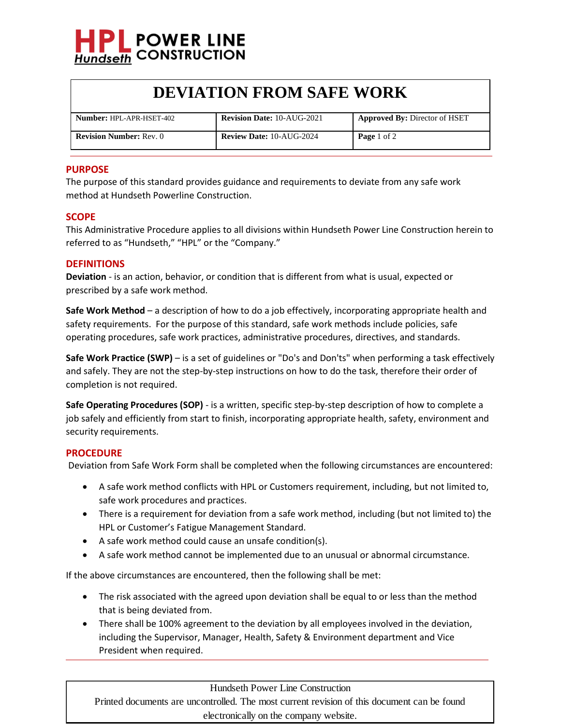

# **DEVIATION FROM SAFE WORK**

| <b>Number: HPL-APR-HSET-402</b> | <b>Revision Date: 10-AUG-2021</b> | <b>Approved By: Director of HSET</b> |
|---------------------------------|-----------------------------------|--------------------------------------|
| <b>Revision Number: Rev. 0</b>  | <b>Review Date: 10-AUG-2024</b>   | <b>Page</b> 1 of 2                   |

### **PURPOSE**

The purpose of this standard provides guidance and requirements to deviate from any safe work method at Hundseth Powerline Construction.

#### **SCOPE**

This Administrative Procedure applies to all divisions within Hundseth Power Line Construction herein to referred to as "Hundseth," "HPL" or the "Company."

#### **DEFINITIONS**

**Deviation** - is an action, behavior, or condition that is different from what is usual, expected or prescribed by a safe work method.

**Safe Work Method** – a description of how to do a job effectively, incorporating appropriate health and safety requirements. For the purpose of this standard, safe work methods include policies, safe operating procedures, safe work practices, administrative procedures, directives, and standards.

**Safe Work Practice (SWP)** – is a set of guidelines or "Do's and Don'ts" when performing a task effectively and safely. They are not the step-by-step instructions on how to do the task, therefore their order of completion is not required.

**Safe Operating Procedures (SOP)** - is a written, specific step-by-step description of how to complete a job safely and efficiently from start to finish, incorporating appropriate health, safety, environment and security requirements.

#### **PROCEDURE**

Deviation from Safe Work Form shall be completed when the following circumstances are encountered:

- A safe work method conflicts with HPL or Customers requirement, including, but not limited to, safe work procedures and practices.
- There is a requirement for deviation from a safe work method, including (but not limited to) the HPL or Customer's Fatigue Management Standard.
- A safe work method could cause an unsafe condition(s).
- A safe work method cannot be implemented due to an unusual or abnormal circumstance.

If the above circumstances are encountered, then the following shall be met:

- The risk associated with the agreed upon deviation shall be equal to or less than the method that is being deviated from.
- There shall be 100% agreement to the deviation by all employees involved in the deviation, including the Supervisor, Manager, Health, Safety & Environment department and Vice President when required.

Hundseth Power Line Construction

Printed documents are uncontrolled. The most current revision of this document can be found electronically on the company website.